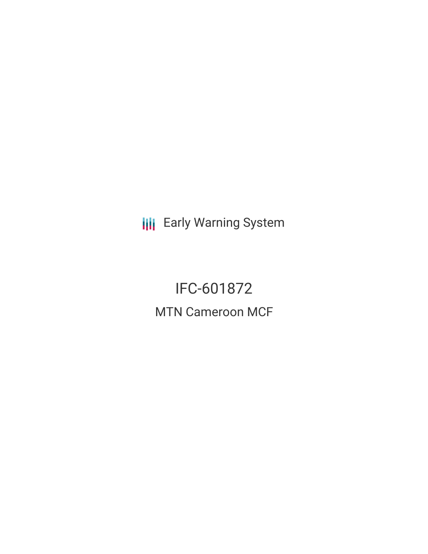**III** Early Warning System

IFC-601872 MTN Cameroon MCF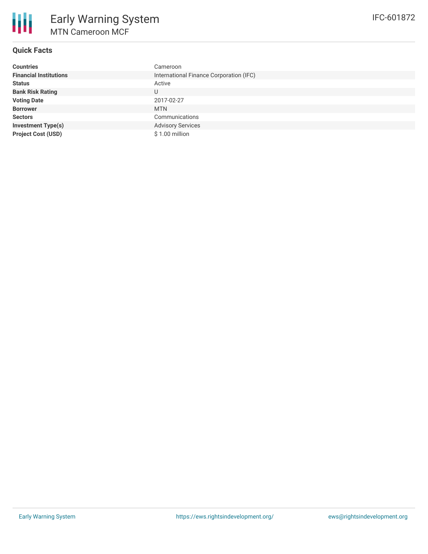

# **Quick Facts**

| <b>Countries</b>              | Cameroon                                |
|-------------------------------|-----------------------------------------|
| <b>Financial Institutions</b> | International Finance Corporation (IFC) |
| <b>Status</b>                 | Active                                  |
| <b>Bank Risk Rating</b>       | U                                       |
| <b>Voting Date</b>            | 2017-02-27                              |
| <b>Borrower</b>               | <b>MTN</b>                              |
| <b>Sectors</b>                | Communications                          |
| <b>Investment Type(s)</b>     | <b>Advisory Services</b>                |
| <b>Project Cost (USD)</b>     | \$1.00 million                          |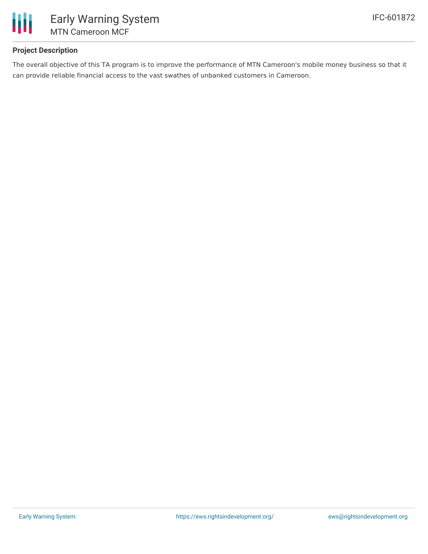

### **Project Description**

The overall objective of this TA program is to improve the performance of MTN Cameroon's mobile money business so that it can provide reliable financial access to the vast swathes of unbanked customers in Cameroon.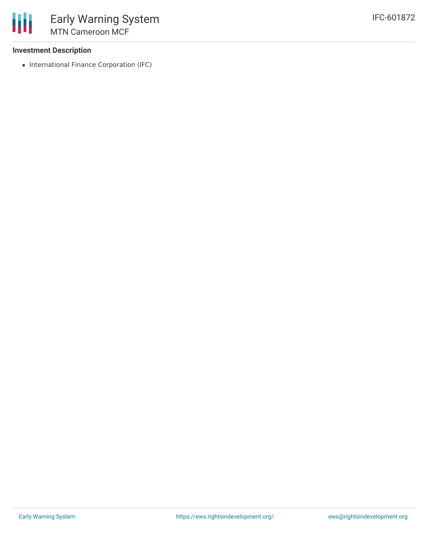### **Investment Description**

• International Finance Corporation (IFC)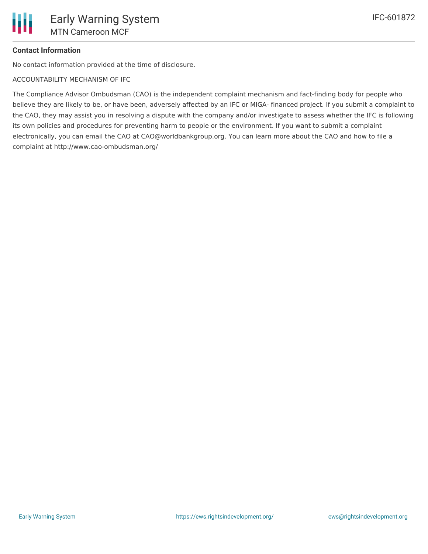# **Contact Information**

No contact information provided at the time of disclosure.

ACCOUNTABILITY MECHANISM OF IFC

The Compliance Advisor Ombudsman (CAO) is the independent complaint mechanism and fact-finding body for people who believe they are likely to be, or have been, adversely affected by an IFC or MIGA- financed project. If you submit a complaint to the CAO, they may assist you in resolving a dispute with the company and/or investigate to assess whether the IFC is following its own policies and procedures for preventing harm to people or the environment. If you want to submit a complaint electronically, you can email the CAO at CAO@worldbankgroup.org. You can learn more about the CAO and how to file a complaint at http://www.cao-ombudsman.org/